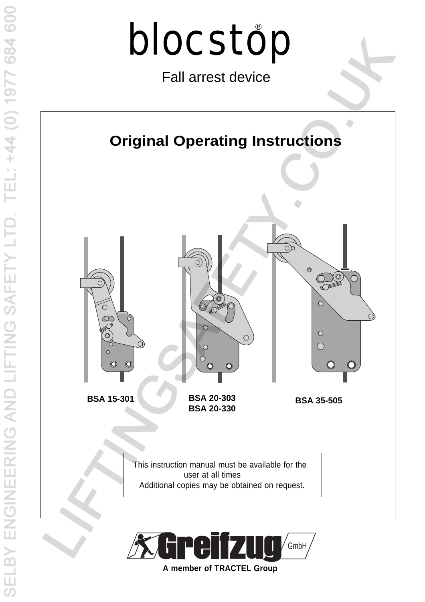

Fall arrest device





**A member of TRACTEL Group**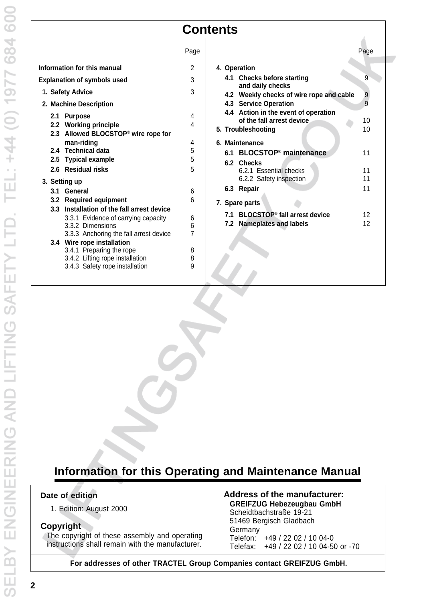# **Contents**

|                                                         | Page   | Page                                                                    |
|---------------------------------------------------------|--------|-------------------------------------------------------------------------|
| Information for this manual                             | 2      | 4. Operation                                                            |
| <b>Explanation of symbols used</b>                      | 3      | 9<br>4.1 Checks before starting<br>and daily checks                     |
| 1. Safety Advice                                        | 3      | 9<br>4.2 Weekly checks of wire rope and cable                           |
| 2. Machine Description                                  |        | 9<br>4.3 Service Operation                                              |
| 2.1 Purpose                                             | 4      | 4.4 Action in the event of operation<br>of the fall arrest device<br>10 |
| 2.2 Working principle                                   | 4      | 10<br>5. Troubleshooting                                                |
| 2.3 Allowed BLOCSTOP <sup>®</sup> wire rope for         |        |                                                                         |
| man-riding<br>2.4 Technical data                        | 4      | 6. Maintenance                                                          |
|                                                         | 5<br>5 | 6.1 BLOCSTOP <sup>®</sup> maintenance<br>11                             |
| 2.5 Typical example<br>2.6 Residual risks               | 5      | 6.2 Checks                                                              |
|                                                         |        | 6.2.1 Essential checks<br>11<br>11                                      |
| 3. Setting up                                           |        | 6.2.2 Safety inspection<br>11                                           |
| 3.1 General                                             | 6      | 6.3 Repair                                                              |
| 3.2 Required equipment                                  | 6      | 7. Spare parts                                                          |
| 3.3 Installation of the fall arrest device              |        | 7.1 BLOCSTOP <sup>®</sup> fall arrest device<br>12                      |
| 3.3.1 Evidence of carrying capacity<br>3.3.2 Dimensions | 6<br>6 | 12<br>7.2 Nameplates and labels                                         |
| 3.3.3 Anchoring the fall arrest device                  | 7      |                                                                         |
| 3.4 Wire rope installation                              |        |                                                                         |
| 3.4.1 Preparing the rope                                | 8      |                                                                         |
| 3.4.2 Lifting rope installation                         | 8      |                                                                         |
| 3.4.3 Safety rope installation                          | 9      |                                                                         |
|                                                         |        |                                                                         |
|                                                         |        |                                                                         |

# **Information for this Operating and Maintenance Manual**

### **Date of edition**

1. Edition: August 2000

### **Copyright**

The copyright of these assembly and operating instructions shall remain with the manufacturer.

# **Address of the manufacturer:**

**GREIFZUG Hebezeugbau GmbH** Scheidtbachstraße 19-21 51469 Bergisch Gladbach Germany Telefon: +49 / 22 02 / 10 04-0 Telefax: +49 / 22 02 / 10 04-50 or -70

**For addresses of other TRACTEL Group Companies contact GREIFZUG GmbH.**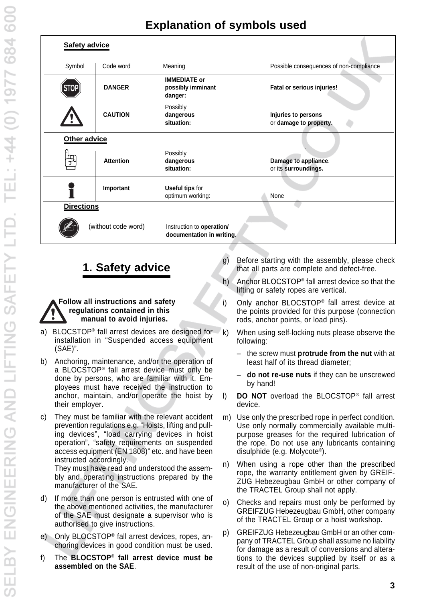| <b>Explanation of symbols used</b> |  |  |  |
|------------------------------------|--|--|--|
|------------------------------------|--|--|--|

| <b>Safety advice</b> |                     |                                                        |                                               |
|----------------------|---------------------|--------------------------------------------------------|-----------------------------------------------|
| Symbol               | Code word           | Meaning                                                | Possible consequences of non-compliance       |
| STOI                 | <b>DANGER</b>       | <b>IMMEDIATE or</b><br>possibly imminant<br>danger:    | Fatal or serious injuries!                    |
|                      | <b>CAUTION</b>      | Possibly<br>dangerous<br>situation:                    | Injuries to persons<br>or damage to property. |
| Other advice         |                     |                                                        |                                               |
|                      | <b>Attention</b>    | Possibly<br>dangerous<br>situation:                    | Damage to appliance.<br>or its surroundings.  |
|                      | Important           | <b>Useful tips for</b><br>optimum working:             | None                                          |
| <b>Directions</b>    |                     |                                                        |                                               |
|                      | (without code word) | Instruction to operation/<br>documentation in writing. |                                               |
|                      |                     |                                                        |                                               |

#### **Follow all instructions and safety regulations contained in this manual to avoid injuries.**

- a) BLOCSTOP<sup>®</sup> fall arrest devices are designed for  $k$ ) installation in "Suspended access equipment (SAE)".
- b) Anchoring, maintenance, and/or the operation of a BLOCSTOP® fall arrest device must only be done by persons, who are familiar with it. Employees must have received the instruction to anchor, maintain, and/or operate the hoist by their employer.
- c) They must be familiar with the relevant accident prevention regulations e.g. "Hoists, lifting and pulling devices", "load carrying devices in hoist operation", "safety requirements on suspended access equipment (EN 1808)" etc. and have been instructed accordingly.

They must have read and understood the assembly and operating instructions prepared by the manufacturer of the SAE.

- d) If more than one person is entrusted with one of the above mentioned activities, the manufacturer of the SAE must designate a supervisor who is authorised to give instructions.
- e) Only BLOCSTOP® fall arrest devices, ropes, anchoring devices in good condition must be used.
- f) The **BLOCSTOP**® **fall arrest device must be assembled on the SAE**.
- **1. Safety advice g**) Before starting with the assembly, please check that all parts are complete and defect-free.
	- h) Anchor BLOCSTOP® fall arrest device so that the lifting or safety ropes are vertical.
	- i) Only anchor BLOCSTOP® fall arrest device at the points provided for this purpose (connection rods, anchor points, or load pins).
		- When using self-locking nuts please observe the following:
			- the screw must **protrude from the nut** with at least half of its thread diameter;
			- **do not re-use nuts** if they can be unscrewed by hand!
	- l) **DO NOT** overload the BLOCSTOP® fall arrest device.
	- m) Use only the prescribed rope in perfect condition. Use only normally commercially available multipurpose greases for the required lubrication of the rope. Do not use any lubricants containing disulphide (e.g. Molycote®).
	- n) When using a rope other than the prescribed rope, the warranty entitlement given by GREIF-ZUG Hebezeugbau GmbH or other company of the TRACTEL Group shall not apply.
	- o) Checks and repairs must only be performed by GREIFZUG Hebezeugbau GmbH, other company of the TRACTEL Group or a hoist workshop.
	- p) GREIFZUG Hebezeugbau GmbH or an other company of TRACTEL Group shall assume no liability for damage as a result of conversions and alterations to the devices supplied by itself or as a result of the use of non-original parts.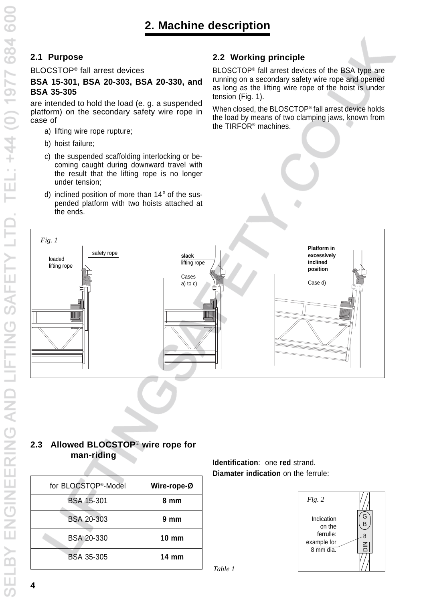# **2.1 Purpose**

BLOCSTOP® fall arrest devices

## **BSA 15-301, BSA 20-303, BSA 20-330, and BSA 35-305**

are intended to hold the load (e. g. a suspended platform) on the secondary safety wire rope in case of

- a) lifting wire rope rupture;
- b) hoist failure;
- c) the suspended scaffolding interlocking or becoming caught during downward travel with the result that the lifting rope is no longer under tension;
- d) inclined position of more than 14° of the suspended platform with two hoists attached at the ends.

# **2.2 Working principle**

BLOSCTOP® fall arrest devices of the BSA type are running on a secondary safety wire rope and opened as long as the lifting wire rope of the hoist is under tension (Fig. 1).

When closed, the BLOSCTOP® fall arrest device holds the load by means of two clamping jaws, known from the TIRFOR® machines.



# **2.3 Allowed BLOCSTOP**® **wire rope for man-riding**

| Wire-rope-Ø     | for BLOCSTOP <sup>®</sup> -Model |  |
|-----------------|----------------------------------|--|
| 8 mm            | <b>BSA 15-301</b>                |  |
| $9 \text{ mm}$  | <b>BSA 20-303</b>                |  |
| $10 \text{ mm}$ | <b>BSA 20-330</b>                |  |
| $14 \text{ mm}$ | BSA 35-305                       |  |

**Identification**: one **red** strand. **Diamater indication** on the ferrule:



*Table 1*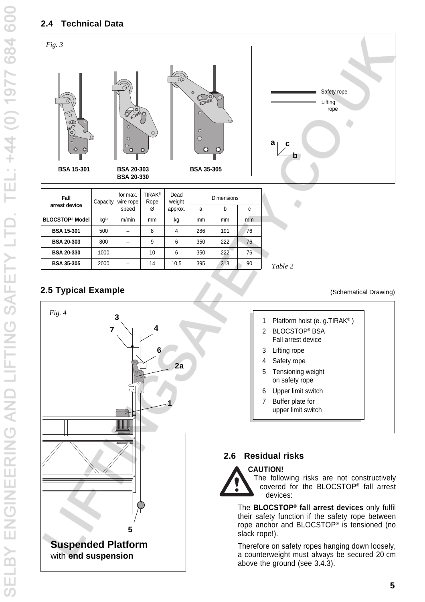# **2.4 Technical Data**



| UGSTOL. MOUSE     | KQ'' | TIVITIID. | THEFT | ĸy   | THEFT | mm  | THITI |         |
|-------------------|------|-----------|-------|------|-------|-----|-------|---------|
| <b>BSA 15-301</b> | 500  |           |       |      | 286   | 191 | 76    |         |
| <b>BSA 20-303</b> | 800  |           | 9     | 6    | 350   | 222 | 76    |         |
| <b>BSA 20-330</b> | 1000 |           | 10    | 6    | 350   | 222 | 76    |         |
| <b>BSA 35-305</b> | 2000 |           | 14    | 10.5 | 395   | 313 | 90    | Table 2 |

# **2.5 Typical Example**



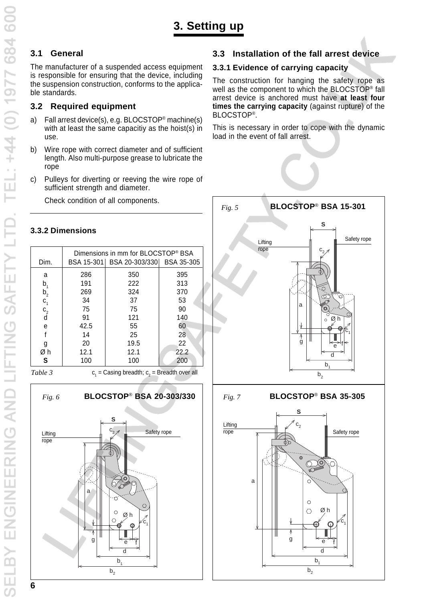# **3.1 General**

The manufacturer of a suspended access equipment is responsible for ensuring that the device, including the suspension construction, conforms to the applicable standards.

# **3.2 Required equipment**

- a) Fall arrest device(s), e.g. BLOCSTOP® machine(s) with at least the same capacitiy as the hoist(s) in use.
- b) Wire rope with correct diameter and of sufficient length. Also multi-purpose grease to lubricate the rope
- c) Pulleys for diverting or reeving the wire rope of sufficient strength and diameter.

Check condition of all components.

# **3.3.2 Dimensions**

| Dim.                           |      | Dimensions in mm for BLOCSTOP® BSA<br>BSA 15-301 BSA 20-303/330 BSA 35-305 |      |
|--------------------------------|------|----------------------------------------------------------------------------|------|
| a                              | 286  | 350                                                                        | 395  |
| b,                             | 191  | 222                                                                        | 313  |
|                                | 269  | 324                                                                        | 370  |
| $b_2$<br>$c_1$<br>$c_2$<br>$d$ | 34   | 37                                                                         | 53   |
|                                | 75   | 75                                                                         | 90   |
|                                | 91   | 121                                                                        | 140  |
| е                              | 42.5 | 55                                                                         | 60   |
|                                | 14   | 25                                                                         | 28   |
| g                              | 20   | 19.5                                                                       | 22   |
| Øh                             | 12.1 | 12.1                                                                       | 22.2 |
| S                              | 100  | 100                                                                        | 200  |

*Table 3*

 $\mathsf{c}_\mathsf{1}^{\phantom{\dagger}}=\mathsf{Casing}\ \mathsf{breadth};$   $\mathsf{c}_\mathsf{2}^{\phantom{\dagger}}=\mathsf{Breadth}\ \mathsf{over}\ \mathsf{all}$ 



# **3.3 Installation of the fall arrest device**

## **3.3.1 Evidence of carrying capacity**

The construction for hanging the safety rope as well as the component to which the BLOCSTOP® fall arrest device is anchored must have **at least four times the carrying capacity** (against rupture) of the BLOCSTOP®.

This is necessary in order to cope with the dynamic load in the event of fall arrest.

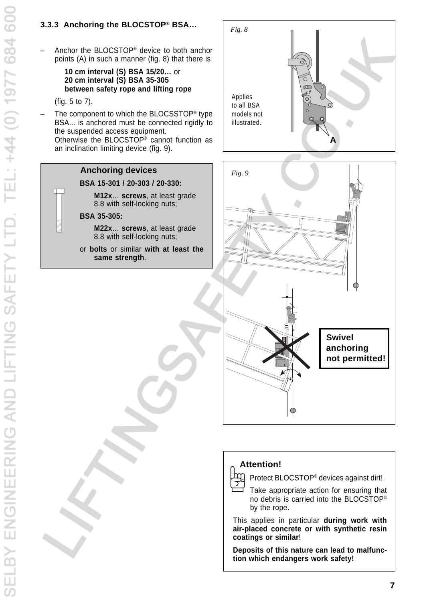# **3.3.3 Anchoring the BLOCSTOP**® **BSA…**

– Anchor the BLOCSTOP® device to both anchor points (A) in such a manner (fig. 8) that there is

> **10 cm interval (S) BSA 15/20…** or **20 cm interval (S) BSA 35-305 between safety rope and lifting rope**

(fig. 5 to 7).

 $\Box$ 

The component to which the BLOCSSTOP<sup>®</sup> type BSA... is anchored must be connected rigidly to the suspended access equipment. Otherwise the BLOCSTOP® cannot function as an inclination limiting device (fig. 9).

#### **Anchoring devices**

#### **BSA 15-301 / 20-303 / 20-330:**

**M12x**… **screws**, at least grade 8.8 with self-locking nuts;

#### **BSA 35-305:**

- **M22x**… **screws**, at least grade 8.8 with self-locking nuts;
- or **bolts** or similar **with at least the same strength**.



# **Attention!**

Ìm

Protect BLOCSTOP® devices against dirt!

Q

Take appropriate action for ensuring that no debris is carried into the BLOCSTOP© by the rope.

This applies in particular **during work with air-placed concrete or with synthetic resin coatings or similar**!

**Deposits of this nature can lead to malfunction which endangers work safety!**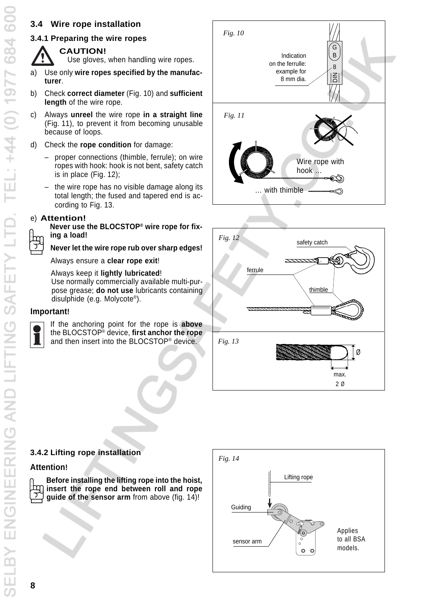# **3.4 Wire rope installation**

# **3.4.1 Preparing the wire ropes**



**CAUTION!**

Use gloves, when handling wire ropes.

- a) Use only **wire ropes specified by the manufacturer**.
- b) Check **correct diameter** (Fig. 10) and **sufficient length** of the wire rope.
- c) Always **unreel** the wire rope **in a straight line** (Fig. 11), to prevent it from becoming unusable because of loops.
- d) Check the **rope condition** for damage:
	- proper connections (thimble, ferrule); on wire ropes with hook: hook is not bent, safety catch is in place (Fig. 12);
	- the wire rope has no visible damage along its total length; the fused and tapered end is according to Fig. 13.

### e) **Attention!**

**Never use the BLOCSTOP® wire rope for fixing a load!**

#### **Never let the wire rope rub over sharp edges!**

Always ensure a **clear rope exit**!

Always keep it **lightly lubricated**! Use normally commercially available multi-purpose grease; **do not use** lubricants containing disulphide (e.g. Molycote®).

### **Important!**



If the anchoring point for the rope is **above** the BLOCSTOP® device, **first anchor the rope** and then insert into the BLOCSTOP® device.





# **3.4.2 Lifting rope installation**

# **Attention!**

**Before installing the lifting rope into the hoist, insert the rope end between roll and rope guide of the sensor arm** from above (fig. 14)!

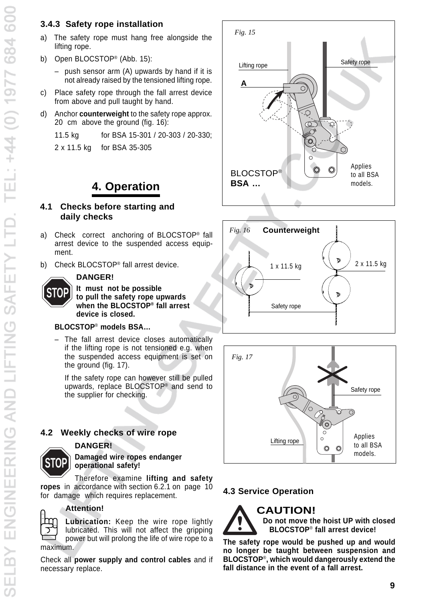- a) The safety rope must hang free alongside the lifting rope.
- b) Open BLOCSTOP® (Abb. 15):
	- push sensor arm (A) upwards by hand if it is not already raised by the tensioned lifting rope.
- c) Place safety rope through the fall arrest device from above and pull taught by hand.
- d) Anchor **counterweight** to the safety rope approx. 20 cm above the ground (fig. 16):

11.5 kg for BSA 15-301 / 20-303 / 20-330;

2 x 11.5 kg for BSA 35-305

#### **4.1 Checks before starting and daily checks**

- a) Check correct anchoring of BLOCSTOP® fall arrest device to the suspended access equipment.
- b) Check BLOCSTOP® fall arrest device.

#### **DANGER!**

**It must not be possible to pull the safety rope upwards when the BLOCSTOP® fall arrest device is closed.**

## **BLOCSTOP**® **models BSA…**

– The fall arrest device closes automatically if the lifting rope is not tensioned e.g. when the suspended access equipment is set on the ground (fig. 17).

If the safety rope can however still be pulled upwards, replace BLOCSTOP® and send to the supplier for checking.

# **4.2 Weekly checks of wire rope**

#### **DANGER!**



**STOP**

#### **Damaged wire ropes endanger operational safety!**

Therefore examine **lifting and safety ropes** in accordance with section 6.2.1 on page 10 for damage which requires replacement.



### **Attention!**

**Lubrication:** Keep the wire rope lightly lubricated. This will not affect the gripping power but will prolong the life of wire rope to a maximum.

Check all **power supply and control cables** and if necessary replace.







# **4.3 Service Operation**

# **CAUTION!**



**Do not move the hoist UP with closed BLOCSTOP**® **fall arrest device!**

**The safety rope would be pushed up and would no longer be taught between suspension and BLOCSTOP**®**, which would dangerously extend the fall distance in the event of a fall arrest.**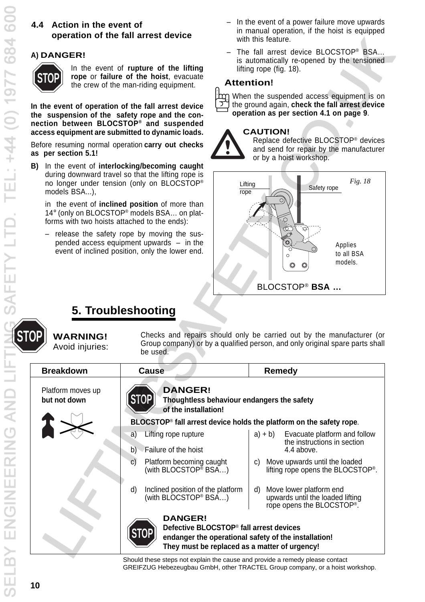# **4.4 Action in the event of operation of the fall arrest device**

# **A) DANGER!**



In the event of **rupture of the lifting rope** or **failure of the hoist**, evacuate the crew of the man-riding equipment.

**In the event of operation of the fall arrest device the suspension of the safety rope and the connection between BLOCSTOP® and suspended access equipment are submitted to dynamic loads.**

Before resuming normal operation **carry out checks as per section 5.1!**

**B)** In the event of **interlocking/becoming caught** during downward travel so that the lifting rope is no longer under tension (only on BLOCSTOP® models BSA...),

in the event of **inclined position** of more than 14° (only on BLOCSTOP<sup>®</sup> models BSA... on platforms with two hoists attached to the ends):

– release the safety rope by moving the suspended access equipment upwards – in the event of inclined position, only the lower end.

- In the event of a power failure move upwards in manual operation, if the hoist is equipped with this feature.
- The fall arrest device BLOCSTOP® BSA... is automatically re-opened by the tensioned lifting rope (fig. 18).

### **Attention!**

When the suspended access equipment is on the ground again, **check the fall arrest device operation as per section 4.1 on page 9**.

#### **CAUTION!**



Replace defective BLOCSTOP® devices and send for repair by the manufacturer or by a hoist workshop.



# **5. Troubleshooting**

**STOP WARNING!** Avoid injuries: Checks and repairs should only be carried out by the manufacturer (or Group company) or by a qualified person, and only original spare parts shall be used.

| <b>Breakdown</b>                  | <b>Cause</b>                                                                                                                                                                   | <b>Remedy</b>                                                                                             |
|-----------------------------------|--------------------------------------------------------------------------------------------------------------------------------------------------------------------------------|-----------------------------------------------------------------------------------------------------------|
| Platform moves up<br>but not down | <b>DANGER!</b><br>Thoughtless behaviour endangers the safety<br>of the installation!                                                                                           |                                                                                                           |
|                                   | BLOCSTOP <sup>®</sup> fall arrest device holds the platform on the safety rope.                                                                                                |                                                                                                           |
|                                   | Lifting rope rupture<br>a)                                                                                                                                                     | $a) + b)$<br>Evacuate platform and follow                                                                 |
|                                   | Failure of the hoist<br>b)                                                                                                                                                     | the instructions in section<br>4.4 above.                                                                 |
|                                   | Platform becoming caught<br>C)<br>(with BLOCSTOP <sup>®</sup> BSA)                                                                                                             | Move upwards until the loaded<br>C)<br>lifting rope opens the BLOCSTOP®.                                  |
|                                   | Inclined position of the platform<br>d)<br>(with BLOCSTOP <sup>®</sup> BSA)                                                                                                    | Move lower platform end<br>d)<br>upwards until the loaded lifting<br>rope opens the BLOCSTOP <sup>®</sup> |
|                                   | <b>DANGER!</b><br>Defective BLOCSTOP <sup>®</sup> fall arrest devices<br>endanger the operational safety of the installation!<br>They must be replaced as a matter of urgency! |                                                                                                           |

Should these steps not explain the cause and provide a remedy please contact GREIFZUG Hebezeugbau GmbH, other TRACTEL Group company, or a hoist workshop.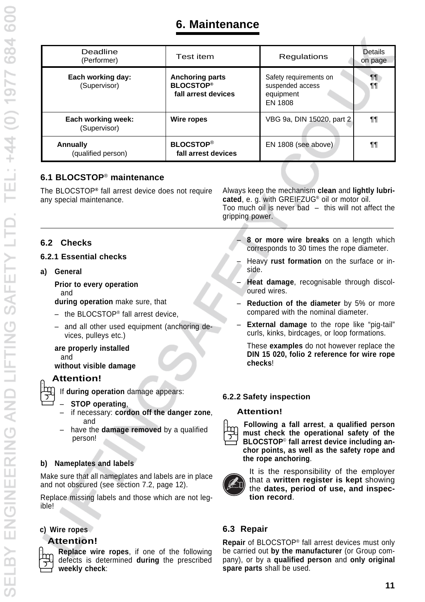| Deadline<br>(Performer)               | Test item                                                         | Regulations                                                        | <b>Details</b><br>on page |
|---------------------------------------|-------------------------------------------------------------------|--------------------------------------------------------------------|---------------------------|
| Each working day:<br>(Supervisor)     | <b>Anchoring parts</b><br><b>BLOCSTOP®</b><br>fall arrest devices | Safety requirements on<br>suspended access<br>equipment<br>EN 1808 | ¶¶<br>¶¶                  |
| Each working week:<br>(Supervisor)    | Wire ropes                                                        | VBG 9a, DIN 15020, part 2                                          | ¶¶                        |
| <b>Annually</b><br>(qualified person) | <b>BLOCSTOP®</b><br>fall arrest devices                           | EN 1808 (see above)                                                | ¶¶                        |

# **6.1 BLOCSTOP**® **maintenance**

| The BLOCSTOP® fall arrest device does not require | Always keep the mechanism clean and lightly lubri-        |
|---------------------------------------------------|-----------------------------------------------------------|
| any special maintenance.                          | cated, e. g. with GREIFZUG <sup>®</sup> oil or motor oil. |
|                                                   | Too much oil is never bad $-$ this will not affect the    |
|                                                   | gripping power.                                           |

# **6.2 Checks**

## **6.2.1 Essential checks**

**a) General**

**Prior to every operation** and

**during operation** make sure, that

- $-$  the BLOCSTOP® fall arrest device,
- and all other used equipment (anchoring devices, pulleys etc.)

#### **are properly installed** and **without visible damage**

# **Attention!**



If **during operation** damage appears:

- – **STOP operating**,
- if necessary: **cordon off the danger zone**, and
- have the **damage removed** by a qualified person!

### **b) Nameplates and labels**

Make sure that all nameplates and labels are in place and not obscured (see section 7.2, page 12).

Replace missing labels and those which are not legible!

# **c) Wire ropes**

# **Attention!**

**Replace wire ropes**, if one of the following defects is determined **during** the prescribed **weekly check**:

– **8 or more wire breaks** on a length which corresponds to 30 times the rope diameter.

- Heavy **rust formation** on the surface or inside.
- **Heat damage**, recognisable through discoloured wires.
- **Reduction of the diameter** by 5% or more compared with the nominal diameter.
- **External damage** to the rope like "pig-tail" curls, kinks, birdcages, or loop formations.

These **examples** do not however replace the **DIN 15 020, folio 2 reference for wire rope checks**!

### **6.2.2 Safety inspection**

### **Attention!**



**Following a fall arrest**, **a qualified person must check the operational safety of the BLOCSTOP**© **fall arrest device including anchor points, as well as the safety rope and the rope anchoring**.



It is the responsibility of the employer that a **written register is kept** showing the **dates, period of use, and inspection record**.

# **6.3 Repair**

**Repair** of BLOCSTOP® fall arrest devices must only be carried out **by the manufacturer** (or Group company), or by a **qualified person** and **only original spare parts** shall be used.